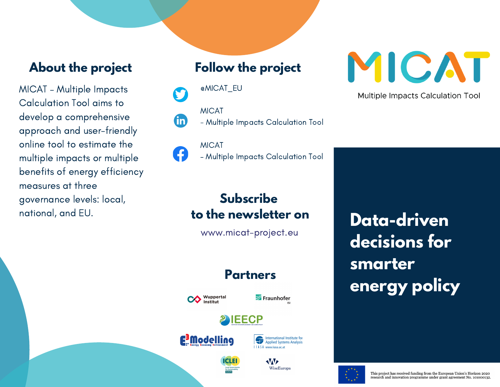#### **About the project**

MICAT – Multiple Impacts Calculation Tool aims to develop a comprehensive approach and user-friendly online tool to estimate the multiple impacts or multiple benefits of energy efficiency measures at three governance levels: local, national, and EU.

## **Follow the project**

@MICAT\_EU

MICAT fin

- Multiple Impacts Calculation Tool

MICAT – Multiple Impacts Calculation Tool

# **Subscribe to the newsletter on**

www.micat-project.eu

## **Partners**



Fraunhofer







**WAY** WiseEuropa



**Multiple Impacts Calculation Tool** 

**Data-driven decisions for smarter energy policy**